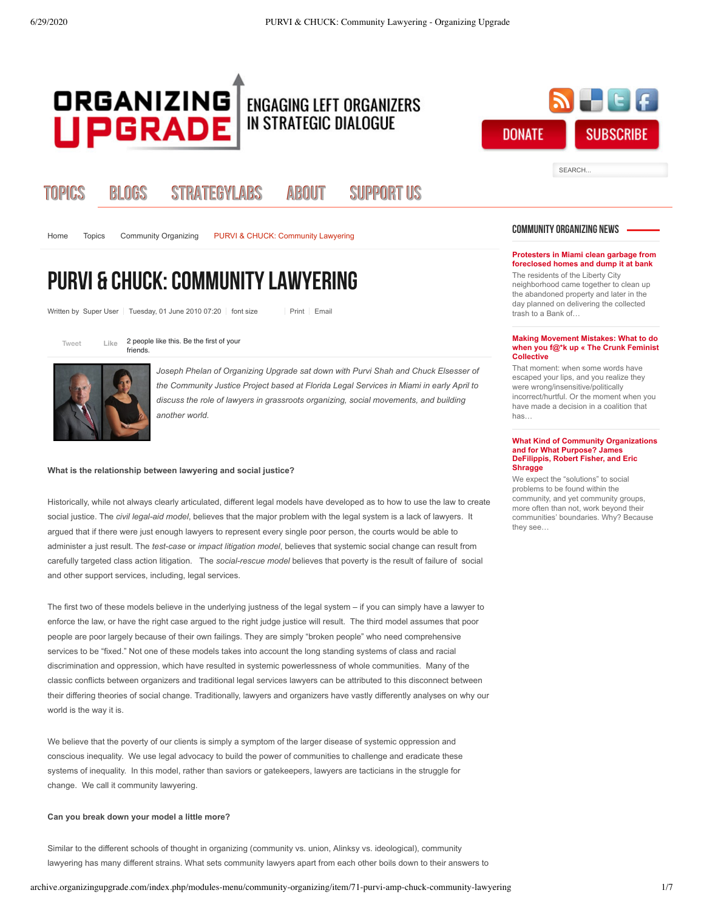

# Topics Blogs StrategyLabs [About](http://archive.organizingupgrade.com/index.php/about) [Support Us](http://archive.organizingupgrade.com/index.php/support-us)

[Home](http://archive.organizingupgrade.com/) Topics [Community Organizing](http://archive.organizingupgrade.com/index.php/modules-menu/community-organizing) PURVI & CHUCK: Community Lawyering

# <span id="page-0-0"></span>PURVI & CHUCK: Community Lawyering

Written by Super User | Tuesday, 01 June 2010 07:20 | font size | [Print](http://archive.organizingupgrade.com/index.php/modules-menu/community-organizing/item/71-purvi-amp-chuck-community-lawyering?tmpl=component&print=1) | [Email](http://archive.organizingupgrade.com/index.php/component/mailto/?tmpl=component&link=aHR0cDovL2FyY2hpdmUub3JnYW5pemluZ3VwZ3JhZGUuY29tL2luZGV4LnBocC9tb2R1bGVzLW1lbnUvY29tbXVuaXR5LW9yZ2FuaXppbmcvaXRlbS83MS1wdXJ2aS1hbXAtY2h1Y2stY29tbXVuaXR5LWxhd3llcmluZw==)

[Tweet](https://twitter.com/intent/tweet?original_referer=http%3A%2F%2Farchive.organizingupgrade.com%2Findex.php%2Fmodules-menu%2Fcommunity-organizing%2Fitem%2F71-purvi-amp-chuck-community-lawyering&ref_src=twsrc%5Etfw&text=PURVI%20%26%20CHUCK%3A%20Community%20Lawyering%20-%20Organizing%20Upgrade&tw_p=tweetbutton&url=http%3A%2F%2Farchive.organizingupgrade.com%2Findex.php%2Fmodules-menu%2Fcommunity-organizing%2Fitem%2F71-purvi-amp-chuck-community-lawyering)  $Like$  2 people like this. Be the first of your friends.



**Like**

*Joseph Phelan of Organizing Upgrade sat down with Purvi Shah and Chuck Elsesser of the Community Justice Project based at Florida Legal Services in Miami in early April to discuss the role of lawyers in grassroots organizing, social movements, and building another world.*

## **What is the relationship between lawyering and social justice?**

Historically, while not always clearly articulated, different legal models have developed as to how to use the law to create social justice. The *civil legal-aid model*, believes that the major problem with the legal system is a lack of lawyers. It argued that if there were just enough lawyers to represent every single poor person, the courts would be able to administer a just result. The *test-case* or *impact litigation model*, believes that systemic social change can result from carefully targeted class action litigation. The *social-rescue model* believes that poverty is the result of failure of social and other support services, including, legal services.

The first two of these models believe in the underlying justness of the legal system – if you can simply have a lawyer to enforce the law, or have the right case argued to the right judge justice will result. The third model assumes that poor people are poor largely because of their own failings. They are simply "broken people" who need comprehensive services to be "fixed." Not one of these models takes into account the long standing systems of class and racial discrimination and oppression, which have resulted in systemic powerlessness of whole communities. Many of the classic conflicts between organizers and traditional legal services lawyers can be attributed to this disconnect between their differing theories of social change. Traditionally, lawyers and organizers have vastly differently analyses on why our world is the way it is.

We believe that the poverty of our clients is simply a symptom of the larger disease of systemic oppression and conscious inequality. We use legal advocacy to build the power of communities to challenge and eradicate these systems of inequality. In this model, rather than saviors or gatekeepers, lawyers are tacticians in the struggle for change. We call it community lawyering.

### **Can you break down your model a little more?**

Similar to the different schools of thought in organizing (community vs. union, Alinksy vs. ideological), community lawyering has many different strains. What sets community lawyers apart from each other boils down to their answers to

# archive.organizingupgrade.com/index.php/modules-menu/community-organizing/item/71-purvi-amp-chuck-community-lawyering 1/7

# COMMUNITY ORGANIZING NEWS

SEARCH.

**DONATE** 

**SUBSCRIBE** 

## **[Protesters in Miami clean garbage from](http://archive.organizingupgrade.com/index.php/modules-menu/community-organizing/item/403-protesters-in-miami-clean-garbage-from-foreclosed-homes-and-dump-it-at-bank) foreclosed homes and dump it at bank**

The residents of the Liberty City neighborhood came together to clean up the abandoned property and later in the day planned on delivering the collected trash to a Bank of…

### **Making Movement Mistakes: What to do [when you f@\\*k up « The Crunk Feminist](http://archive.organizingupgrade.com/index.php/modules-menu/community-organizing/item/373-making-movement-mistakes-what-to-do-when-you-f-k-up--the-crunk-feminist-collective) Collective**

That moment: when some words have escaped your lips, and you realize they were wrong/insensitive/politically incorrect/hurtful. Or the moment when you have made a decision in a coalition that has…

### **[What Kind of Community Organizations](http://archive.organizingupgrade.com/index.php/modules-menu/community-organizing/item/290-what-kind-of-community-organizations-and-for-what-purpose-james-defilippis-robert-fisher-and-eric-shragge) and for What Purpose? James DeFilippis, Robert Fisher, and Eric Shragge**

We expect the "solutions" to social problems to be found within the community, and yet community groups, more often than not, work beyond their communities' boundaries. Why? Because they see…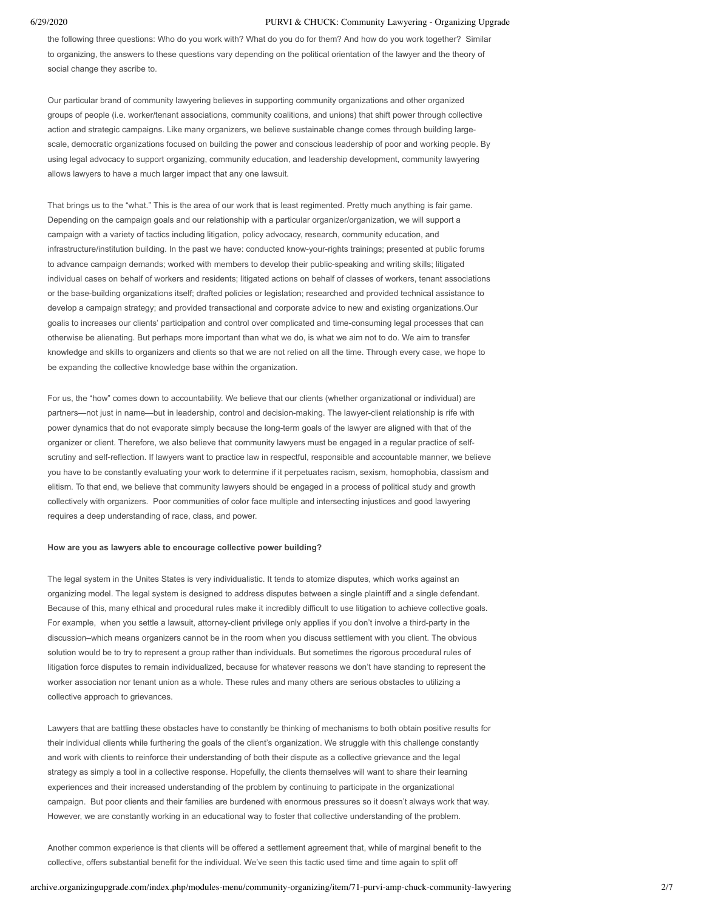the following three questions: Who do you work with? What do you do for them? And how do you work together? Similar to organizing, the answers to these questions vary depending on the political orientation of the lawyer and the theory of social change they ascribe to.

Our particular brand of community lawyering believes in supporting community organizations and other organized groups of people (i.e. worker/tenant associations, community coalitions, and unions) that shift power through collective action and strategic campaigns. Like many organizers, we believe sustainable change comes through building largescale, democratic organizations focused on building the power and conscious leadership of poor and working people. By using legal advocacy to support organizing, community education, and leadership development, community lawyering allows lawyers to have a much larger impact that any one lawsuit.

That brings us to the "what." This is the area of our work that is least regimented. Pretty much anything is fair game. Depending on the campaign goals and our relationship with a particular organizer/organization, we will support a campaign with a variety of tactics including litigation, policy advocacy, research, community education, and infrastructure/institution building. In the past we have: conducted know-your-rights trainings; presented at public forums to advance campaign demands; worked with members to develop their public-speaking and writing skills; litigated individual cases on behalf of workers and residents; litigated actions on behalf of classes of workers, tenant associations or the base-building organizations itself; drafted policies or legislation; researched and provided technical assistance to develop a campaign strategy; and provided transactional and corporate advice to new and existing organizations.Our goalis to increases our clients' participation and control over complicated and time-consuming legal processes that can otherwise be alienating. But perhaps more important than what we do, is what we aim not to do. We aim to transfer knowledge and skills to organizers and clients so that we are not relied on all the time. Through every case, we hope to be expanding the collective knowledge base within the organization.

For us, the "how" comes down to accountability. We believe that our clients (whether organizational or individual) are partners—not just in name—but in leadership, control and decision-making. The lawyer-client relationship is rife with power dynamics that do not evaporate simply because the long-term goals of the lawyer are aligned with that of the organizer or client. Therefore, we also believe that community lawyers must be engaged in a regular practice of selfscrutiny and self-reflection. If lawyers want to practice law in respectful, responsible and accountable manner, we believe you have to be constantly evaluating your work to determine if it perpetuates racism, sexism, homophobia, classism and elitism. To that end, we believe that community lawyers should be engaged in a process of political study and growth collectively with organizers. Poor communities of color face multiple and intersecting injustices and good lawyering requires a deep understanding of race, class, and power.

# **How are you as lawyers able to encourage collective power building?**

The legal system in the Unites States is very individualistic. It tends to atomize disputes, which works against an organizing model. The legal system is designed to address disputes between a single plaintiff and a single defendant. Because of this, many ethical and procedural rules make it incredibly difficult to use litigation to achieve collective goals. For example, when you settle a lawsuit, attorney-client privilege only applies if you don't involve a third-party in the discussion–which means organizers cannot be in the room when you discuss settlement with you client. The obvious solution would be to try to represent a group rather than individuals. But sometimes the rigorous procedural rules of litigation force disputes to remain individualized, because for whatever reasons we don't have standing to represent the worker association nor tenant union as a whole. These rules and many others are serious obstacles to utilizing a collective approach to grievances.

Lawyers that are battling these obstacles have to constantly be thinking of mechanisms to both obtain positive results for their individual clients while furthering the goals of the client's organization. We struggle with this challenge constantly and work with clients to reinforce their understanding of both their dispute as a collective grievance and the legal strategy as simply a tool in a collective response. Hopefully, the clients themselves will want to share their learning experiences and their increased understanding of the problem by continuing to participate in the organizational campaign. But poor clients and their families are burdened with enormous pressures so it doesn't always work that way. However, we are constantly working in an educational way to foster that collective understanding of the problem.

Another common experience is that clients will be offered a settlement agreement that, while of marginal benefit to the collective, offers substantial benefit for the individual. We've seen this tactic used time and time again to split off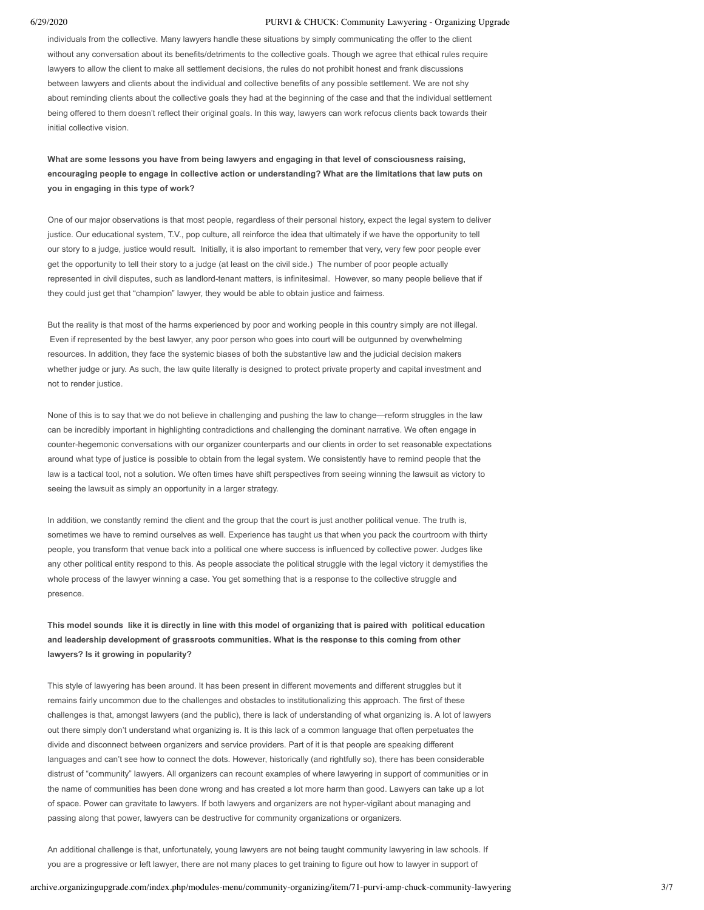individuals from the collective. Many lawyers handle these situations by simply communicating the offer to the client without any conversation about its benefits/detriments to the collective goals. Though we agree that ethical rules require lawyers to allow the client to make all settlement decisions, the rules do not prohibit honest and frank discussions between lawyers and clients about the individual and collective benefits of any possible settlement. We are not shy about reminding clients about the collective goals they had at the beginning of the case and that the individual settlement being offered to them doesn't reflect their original goals. In this way, lawyers can work refocus clients back towards their initial collective vision.

**What are some lessons you have from being lawyers and engaging in that level of consciousness raising, encouraging people to engage in collective action or understanding? What are the limitations that law puts on you in engaging in this type of work?**

One of our major observations is that most people, regardless of their personal history, expect the legal system to deliver justice. Our educational system, T.V., pop culture, all reinforce the idea that ultimately if we have the opportunity to tell our story to a judge, justice would result. Initially, it is also important to remember that very, very few poor people ever get the opportunity to tell their story to a judge (at least on the civil side.) The number of poor people actually represented in civil disputes, such as landlord-tenant matters, is infinitesimal. However, so many people believe that if they could just get that "champion" lawyer, they would be able to obtain justice and fairness.

But the reality is that most of the harms experienced by poor and working people in this country simply are not illegal. Even if represented by the best lawyer, any poor person who goes into court will be outgunned by overwhelming resources. In addition, they face the systemic biases of both the substantive law and the judicial decision makers whether judge or jury. As such, the law quite literally is designed to protect private property and capital investment and not to render justice.

None of this is to say that we do not believe in challenging and pushing the law to change—reform struggles in the law can be incredibly important in highlighting contradictions and challenging the dominant narrative. We often engage in counter-hegemonic conversations with our organizer counterparts and our clients in order to set reasonable expectations around what type of justice is possible to obtain from the legal system. We consistently have to remind people that the law is a tactical tool, not a solution. We often times have shift perspectives from seeing winning the lawsuit as victory to seeing the lawsuit as simply an opportunity in a larger strategy.

In addition, we constantly remind the client and the group that the court is just another political venue. The truth is, sometimes we have to remind ourselves as well. Experience has taught us that when you pack the courtroom with thirty people, you transform that venue back into a political one where success is influenced by collective power. Judges like any other political entity respond to this. As people associate the political struggle with the legal victory it demystifies the whole process of the lawyer winning a case. You get something that is a response to the collective struggle and presence.

**This model sounds like it is directly in line with this model of organizing that is paired with political education and leadership development of grassroots communities. What is the response to this coming from other lawyers? Is it growing in popularity?**

This style of lawyering has been around. It has been present in different movements and different struggles but it remains fairly uncommon due to the challenges and obstacles to institutionalizing this approach. The first of these challenges is that, amongst lawyers (and the public), there is lack of understanding of what organizing is. A lot of lawyers out there simply don't understand what organizing is. It is this lack of a common language that often perpetuates the divide and disconnect between organizers and service providers. Part of it is that people are speaking different languages and can't see how to connect the dots. However, historically (and rightfully so), there has been considerable distrust of "community" lawyers. All organizers can recount examples of where lawyering in support of communities or in the name of communities has been done wrong and has created a lot more harm than good. Lawyers can take up a lot of space. Power can gravitate to lawyers. If both lawyers and organizers are not hyper-vigilant about managing and passing along that power, lawyers can be destructive for community organizations or organizers.

An additional challenge is that, unfortunately, young lawyers are not being taught community lawyering in law schools. If you are a progressive or left lawyer, there are not many places to get training to figure out how to lawyer in support of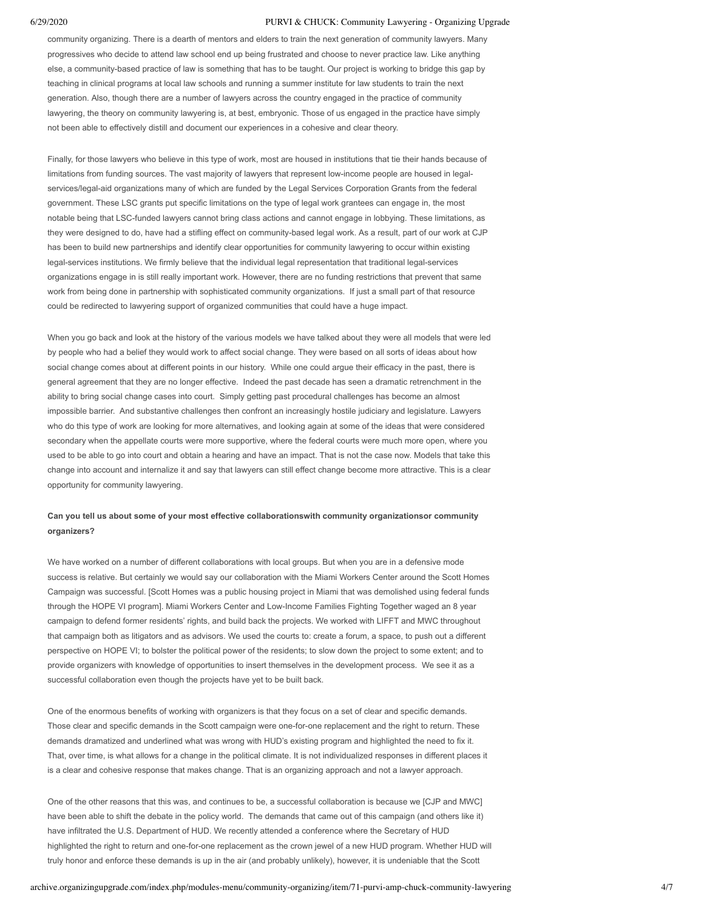community organizing. There is a dearth of mentors and elders to train the next generation of community lawyers. Many progressives who decide to attend law school end up being frustrated and choose to never practice law. Like anything else, a community-based practice of law is something that has to be taught. Our project is working to bridge this gap by teaching in clinical programs at local law schools and running a summer institute for law students to train the next generation. Also, though there are a number of lawyers across the country engaged in the practice of community lawyering, the theory on community lawyering is, at best, embryonic. Those of us engaged in the practice have simply not been able to effectively distill and document our experiences in a cohesive and clear theory.

Finally, for those lawyers who believe in this type of work, most are housed in institutions that tie their hands because of limitations from funding sources. The vast majority of lawyers that represent low-income people are housed in legalservices/legal-aid organizations many of which are funded by the Legal Services Corporation Grants from the federal government. These LSC grants put specific limitations on the type of legal work grantees can engage in, the most notable being that LSC-funded lawyers cannot bring class actions and cannot engage in lobbying. These limitations, as they were designed to do, have had a stifling effect on community-based legal work. As a result, part of our work at CJP has been to build new partnerships and identify clear opportunities for community lawyering to occur within existing legal-services institutions. We firmly believe that the individual legal representation that traditional legal-services organizations engage in is still really important work. However, there are no funding restrictions that prevent that same work from being done in partnership with sophisticated community organizations. If just a small part of that resource could be redirected to lawyering support of organized communities that could have a huge impact.

When you go back and look at the history of the various models we have talked about they were all models that were led by people who had a belief they would work to affect social change. They were based on all sorts of ideas about how social change comes about at different points in our history. While one could argue their efficacy in the past, there is general agreement that they are no longer effective. Indeed the past decade has seen a dramatic retrenchment in the ability to bring social change cases into court. Simply getting past procedural challenges has become an almost impossible barrier. And substantive challenges then confront an increasingly hostile judiciary and legislature. Lawyers who do this type of work are looking for more alternatives, and looking again at some of the ideas that were considered secondary when the appellate courts were more supportive, where the federal courts were much more open, where you used to be able to go into court and obtain a hearing and have an impact. That is not the case now. Models that take this change into account and internalize it and say that lawyers can still effect change become more attractive. This is a clear opportunity for community lawyering.

# **Can you tell us about some of your most effective collaborationswith community organizationsor community organizers?**

We have worked on a number of different collaborations with local groups. But when you are in a defensive mode success is relative. But certainly we would say our collaboration with the Miami Workers Center around the Scott Homes Campaign was successful. [Scott Homes was a public housing project in Miami that was demolished using federal funds through the HOPE VI program]. Miami Workers Center and Low-Income Families Fighting Together waged an 8 year campaign to defend former residents' rights, and build back the projects. We worked with LIFFT and MWC throughout that campaign both as litigators and as advisors. We used the courts to: create a forum, a space, to push out a different perspective on HOPE VI; to bolster the political power of the residents; to slow down the project to some extent; and to provide organizers with knowledge of opportunities to insert themselves in the development process. We see it as a successful collaboration even though the projects have yet to be built back.

One of the enormous benefits of working with organizers is that they focus on a set of clear and specific demands. Those clear and specific demands in the Scott campaign were one-for-one replacement and the right to return. These demands dramatized and underlined what was wrong with HUD's existing program and highlighted the need to fix it. That, over time, is what allows for a change in the political climate. It is not individualized responses in different places it is a clear and cohesive response that makes change. That is an organizing approach and not a lawyer approach.

One of the other reasons that this was, and continues to be, a successful collaboration is because we [CJP and MWC] have been able to shift the debate in the policy world. The demands that came out of this campaign (and others like it) have infiltrated the U.S. Department of HUD. We recently attended a conference where the Secretary of HUD highlighted the right to return and one-for-one replacement as the crown jewel of a new HUD program. Whether HUD will truly honor and enforce these demands is up in the air (and probably unlikely), however, it is undeniable that the Scott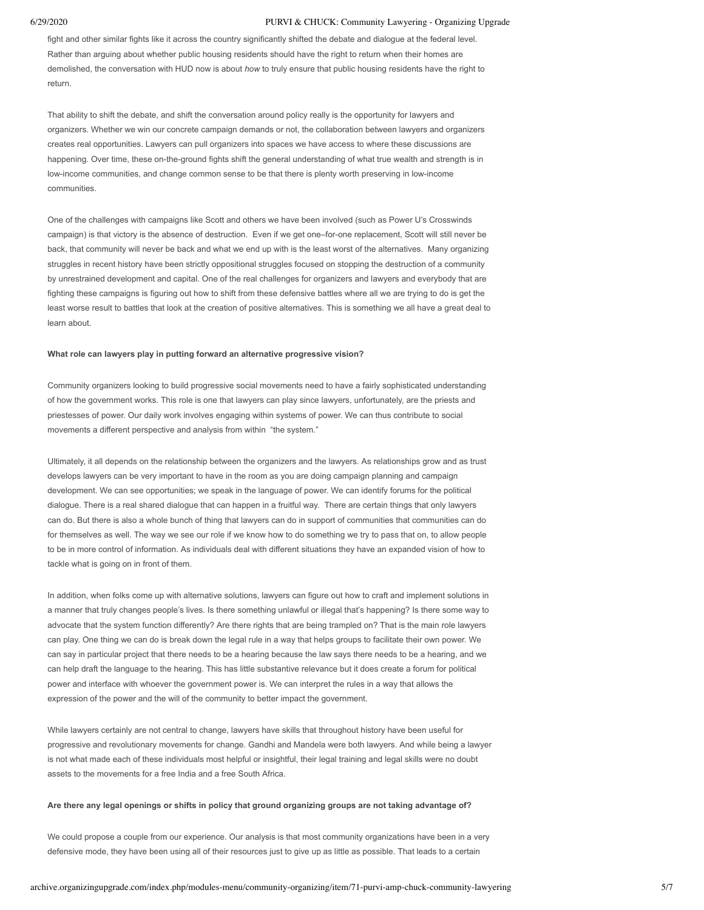fight and other similar fights like it across the country significantly shifted the debate and dialogue at the federal level. Rather than arguing about whether public housing residents should have the right to return when their homes are demolished, the conversation with HUD now is about *how* to truly ensure that public housing residents have the right to return.

That ability to shift the debate, and shift the conversation around policy really is the opportunity for lawyers and organizers. Whether we win our concrete campaign demands or not, the collaboration between lawyers and organizers creates real opportunities. Lawyers can pull organizers into spaces we have access to where these discussions are happening. Over time, these on-the-ground fights shift the general understanding of what true wealth and strength is in low-income communities, and change common sense to be that there is plenty worth preserving in low-income communities.

One of the challenges with campaigns like Scott and others we have been involved (such as Power U's Crosswinds campaign) is that victory is the absence of destruction. Even if we get one–for-one replacement, Scott will still never be back, that community will never be back and what we end up with is the least worst of the alternatives. Many organizing struggles in recent history have been strictly oppositional struggles focused on stopping the destruction of a community by unrestrained development and capital. One of the real challenges for organizers and lawyers and everybody that are fighting these campaigns is figuring out how to shift from these defensive battles where all we are trying to do is get the least worse result to battles that look at the creation of positive alternatives. This is something we all have a great deal to learn about.

# **What role can lawyers play in putting forward an alternative progressive vision?**

Community organizers looking to build progressive social movements need to have a fairly sophisticated understanding of how the government works. This role is one that lawyers can play since lawyers, unfortunately, are the priests and priestesses of power. Our daily work involves engaging within systems of power. We can thus contribute to social movements a different perspective and analysis from within "the system."

Ultimately, it all depends on the relationship between the organizers and the lawyers. As relationships grow and as trust develops lawyers can be very important to have in the room as you are doing campaign planning and campaign development. We can see opportunities; we speak in the language of power. We can identify forums for the political dialogue. There is a real shared dialogue that can happen in a fruitful way. There are certain things that only lawyers can do. But there is also a whole bunch of thing that lawyers can do in support of communities that communities can do for themselves as well. The way we see our role if we know how to do something we try to pass that on, to allow people to be in more control of information. As individuals deal with different situations they have an expanded vision of how to tackle what is going on in front of them.

In addition, when folks come up with alternative solutions, lawyers can figure out how to craft and implement solutions in a manner that truly changes people's lives. Is there something unlawful or illegal that's happening? Is there some way to advocate that the system function differently? Are there rights that are being trampled on? That is the main role lawyers can play. One thing we can do is break down the legal rule in a way that helps groups to facilitate their own power. We can say in particular project that there needs to be a hearing because the law says there needs to be a hearing, and we can help draft the language to the hearing. This has little substantive relevance but it does create a forum for political power and interface with whoever the government power is. We can interpret the rules in a way that allows the expression of the power and the will of the community to better impact the government.

While lawyers certainly are not central to change, lawyers have skills that throughout history have been useful for progressive and revolutionary movements for change. Gandhi and Mandela were both lawyers. And while being a lawyer is not what made each of these individuals most helpful or insightful, their legal training and legal skills were no doubt assets to the movements for a free India and a free South Africa.

# **Are there any legal openings or shifts in policy that ground organizing groups are not taking advantage of?**

We could propose a couple from our experience. Our analysis is that most community organizations have been in a very defensive mode, they have been using all of their resources just to give up as little as possible. That leads to a certain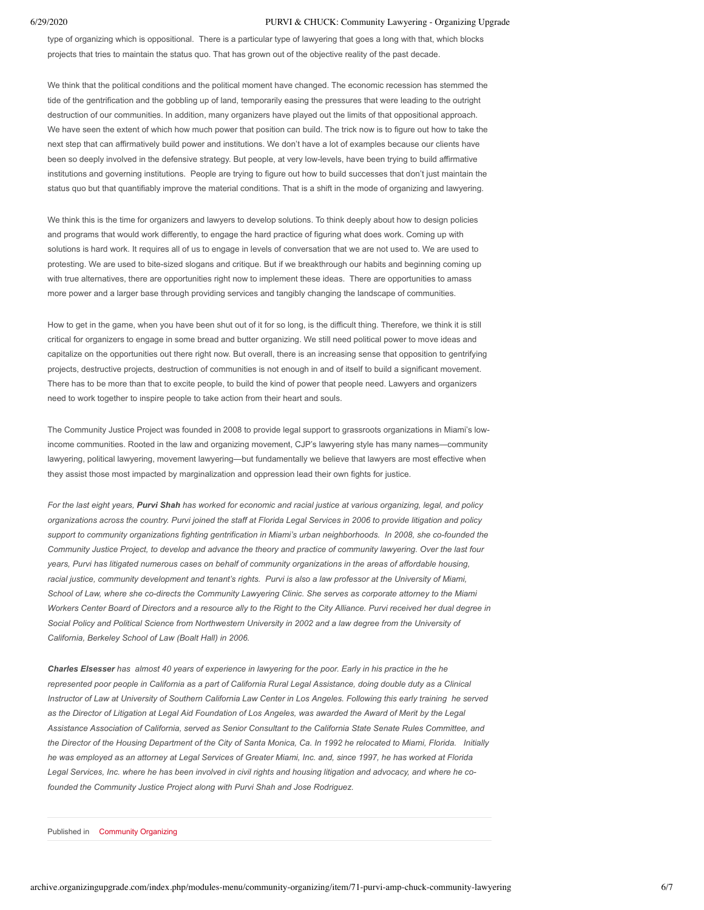type of organizing which is oppositional. There is a particular type of lawyering that goes a long with that, which blocks projects that tries to maintain the status quo. That has grown out of the objective reality of the past decade.

We think that the political conditions and the political moment have changed. The economic recession has stemmed the tide of the gentrification and the gobbling up of land, temporarily easing the pressures that were leading to the outright destruction of our communities. In addition, many organizers have played out the limits of that oppositional approach. We have seen the extent of which how much power that position can build. The trick now is to figure out how to take the next step that can affirmatively build power and institutions. We don't have a lot of examples because our clients have been so deeply involved in the defensive strategy. But people, at very low-levels, have been trying to build affirmative institutions and governing institutions. People are trying to figure out how to build successes that don't just maintain the status quo but that quantifiably improve the material conditions. That is a shift in the mode of organizing and lawyering.

We think this is the time for organizers and lawyers to develop solutions. To think deeply about how to design policies and programs that would work differently, to engage the hard practice of figuring what does work. Coming up with solutions is hard work. It requires all of us to engage in levels of conversation that we are not used to. We are used to protesting. We are used to bite-sized slogans and critique. But if we breakthrough our habits and beginning coming up with true alternatives, there are opportunities right now to implement these ideas. There are opportunities to amass more power and a larger base through providing services and tangibly changing the landscape of communities.

How to get in the game, when you have been shut out of it for so long, is the difficult thing. Therefore, we think it is still critical for organizers to engage in some bread and butter organizing. We still need political power to move ideas and capitalize on the opportunities out there right now. But overall, there is an increasing sense that opposition to gentrifying projects, destructive projects, destruction of communities is not enough in and of itself to build a significant movement. There has to be more than that to excite people, to build the kind of power that people need. Lawyers and organizers need to work together to inspire people to take action from their heart and souls.

The Community Justice Project was founded in 2008 to provide legal support to grassroots organizations in Miami's lowincome communities. Rooted in the law and organizing movement, CJP's lawyering style has many names—community lawyering, political lawyering, movement lawyering—but fundamentally we believe that lawyers are most effective when they assist those most impacted by marginalization and oppression lead their own fights for justice.

*For the last eight years, Purvi Shah has worked for economic and racial justice at various organizing, legal, and policy organizations across the country. Purvi joined the staff at Florida Legal Services in 2006 to provide litigation and policy support to community organizations fighting gentrification in Miami's urban neighborhoods. In 2008, she co-founded the Community Justice Project, to develop and advance the theory and practice of community lawyering. Over the last four years, Purvi has litigated numerous cases on behalf of community organizations in the areas of affordable housing, racial justice, community development and tenant's rights. Purvi is also a law professor at the University of Miami, School of Law, where she co-directs the Community Lawyering Clinic. She serves as corporate attorney to the Miami Workers Center Board of Directors and a resource ally to the Right to the City Alliance. Purvi received her dual degree in Social Policy and Political Science from Northwestern University in 2002 and a law degree from the University of California, Berkeley School of Law (Boalt Hall) in 2006.*

*Charles Elsesser has almost 40 years of experience in lawyering for the poor. Early in his practice in the he represented poor people in California as a part of California Rural Legal Assistance, doing double duty as a Clinical Instructor of Law at University of Southern California Law Center in Los Angeles. Following this early training he served as the Director of Litigation at Legal Aid Foundation of Los Angeles, was awarded the Award of Merit by the Legal Assistance Association of California, served as Senior Consultant to the California State Senate Rules Committee, and the Director of the Housing Department of the City of Santa Monica, Ca. In 1992 he relocated to Miami, Florida. Initially he was employed as an attorney at Legal Services of Greater Miami, Inc. and, since 1997, he has worked at Florida Legal Services, Inc. where he has been involved in civil rights and housing litigation and advocacy, and where he cofounded the Community Justice Project along with Purvi Shah and Jose Rodriguez.*